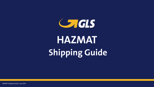CHGLS **HAZMAT Shipping Guide**



HAZMAT Shipping Guide | June 2021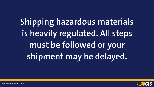**Shipping hazardous materials is heavily regulated. All steps must be followed or your shipment may be delayed.**



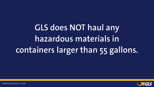**GLS does NOT haul any hazardous materials in containers larger than 55 gallons.**

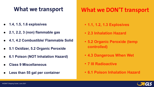# **What we transport**

- **• 1.1, 1.2, 1.3 Explosives**
- **• 2.3 Inhalation Hazard**
- **• 5.2 Organic Peroxide (temp controlled)**
- **• 4.3 Dangerous When Wet**
- **• 7 III Radioactive**
- **• 6.1 Poison Inhalation Hazard**





# **What we DON'T transport**

- ! **1.4, 1.5, 1.6 explosives**
- ! **2.1, 2.2, 3 (non) flammable gas**
- ! **4.1, 4.2 Combustible/ Flammable Solid**
- ! **5.1 Oxidizer, 5.2 Organic Peroxide**
- ! **6.1 Poison (NOT Inhalation Hazard)**
- ! **Class 9 Miscellaneous**
- ! **Less than 55 gal per container**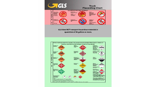

### GLS does NOT transport hazardous materials in quantities of 56 gallons or more.

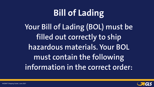



**Bill of Lading Your Bill of Lading (BOL) must be filled out correctly to ship hazardous materials. Your BOL must contain the following information in the correct order:**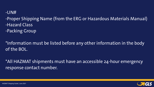### -Proper Shipping Name (from the ERG or Hazardous Materials Manual)

### $-UN#$

- -Hazard Class
- -Packing Group

### \*Information must be listed before any other information in the body

of the BOL.

## \*All HAZMAT shipments must have an accessible 24-hour emergency





response contact number.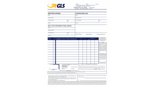

### **SHIPPER (FROM)**

**NAME** 

STREET AND NO.

CITY AND STATE

PHONE

### BILL TO (IF DIFFERENT THAN ABOVE)

**NAME** 

STREET AND NO.

**CITY AND STATE** 

ZIP

**ZIP** 

**PHONE** 

| <b>NUMBER</b><br><b>DAGRASSIS</b> | $\left\langle X_{1}^{n}\right\rangle$ |          | Е.М. количильное составляется своих выполняется малов<br>THERMAL <b>MIST</b> DALLER CESHIFYER WARE WARD CLASS |            |
|-----------------------------------|---------------------------------------|----------|---------------------------------------------------------------------------------------------------------------|------------|
|                                   | È                                     |          |                                                                                                               |            |
|                                   |                                       |          |                                                                                                               |            |
|                                   | <b>SAN SERIES</b>                     |          |                                                                                                               |            |
|                                   |                                       |          |                                                                                                               |            |
|                                   |                                       |          |                                                                                                               |            |
|                                   |                                       |          |                                                                                                               |            |
|                                   |                                       |          |                                                                                                               |            |
|                                   | <b>RESURVATION</b>                    |          |                                                                                                               |            |
|                                   | <b>TELLE</b>                          |          |                                                                                                               |            |
|                                   |                                       |          |                                                                                                               |            |
| C.O.D.                            |                                       | L.       | THE LETTHES C.O.D. MUST APPEAR<br><b>CONSIGNER'S NAME ABOVE.</b><br><b>REPPER SELECT</b>                      |            |
| ŝ                                 |                                       | ž.<br>ä. | <b>CASHER CHECK ONLY</b><br><b>C.O.D. FEE PAID BY</b><br><b>SHIPPER</b>                                       | cor<br>CO. |
|                                   | (AMOUNT)                              |          | SHIPPER SCANDURE                                                                                              |            |

"This is to certify that the above named materials are properly classified, described, packaged, a transportation, according to the applicable regulations of the Department of Transportation and

NOTE (2) LIABILITY LIMITATION FOR LOSS OR DAMAGE ON THIS SHIP) BE APPLICABLE. SEE 49 U.S.C. & 14706 (c)(1)(A) and (B)

NOTE (3) Commodities requiring special or additional care or attention in hand ing must be marked and packaged as to ensure safe transportation with ordinal Sec. 2(e) of NMFC Item 360.

NOTE (4) FOR INFORMATIONAL PURPOSES ONLY:

32032/223, estimatic the chamifications and tastificial effect on the date of the inner of this 201 of Lading, the property carrier (the word carrier being understeed throughout the contrast as meaning any person or corporation in possession and destination. It is entropy agreed, as to each narrier of all or any of said peoperty over all or any perform of said such and<br>and conditions of the Uniform Densatic Straight Sill of Lating art forth (i) in Uniform Fre QUOTE # **DATE TOTAL** THIS CONTRACT IS SUBJECT TO PROVISIONS STATED BELOW OPEN ACCOUNTS-PAYABLE-MANTECA, CA

STRAIGHT BILL OF LADING SHIPPERS NO.

ORIGINAL-NOT NEGOTIABLE P.O. NO.

|                                                     |                            | <b>CONSIGNEE (TO)</b> |                                                           |           |                                                                                                                      |
|-----------------------------------------------------|----------------------------|-----------------------|-----------------------------------------------------------|-----------|----------------------------------------------------------------------------------------------------------------------|
| NAME.                                               |                            |                       |                                                           |           |                                                                                                                      |
|                                                     | STREET AND NO.             |                       |                                                           |           |                                                                                                                      |
|                                                     | <b>CITY AND STATE</b>      |                       |                                                           |           | ZIP                                                                                                                  |
| <b>PHONE</b>                                        |                            |                       |                                                           |           |                                                                                                                      |
|                                                     |                            |                       |                                                           |           |                                                                                                                      |
|                                                     |                            |                       |                                                           |           |                                                                                                                      |
|                                                     |                            |                       |                                                           |           |                                                                                                                      |
|                                                     |                            |                       |                                                           |           |                                                                                                                      |
|                                                     |                            |                       |                                                           |           |                                                                                                                      |
|                                                     | Liftgate Service           |                       | Inside Delivery                                           |           | <b>Residential Delivery</b>                                                                                          |
| <b>CONTRACTOR</b>                                   |                            |                       | <b>CLARKWEIGNE</b>                                        |           | SHIPPICR SHILDCT                                                                                                     |
| IMPON MATH                                          | $L = 2EK$                  | 常期期限                  | WITT'L<br>JEN FILL                                        | THE GROUP | <b>FREDGHT CHARGES ARE</b><br>TO BE PREPAID UNLESS<br>MARKED COLLECT                                                 |
|                                                     |                            |                       |                                                           |           | COLLECT                                                                                                              |
|                                                     |                            |                       |                                                           |           | SUBJECT TO SECTION 2 OF<br><b>CONDITIONS OF APPIACABLE</b><br>BILL OF LADDEL OF THIS                                 |
|                                                     |                            |                       |                                                           |           | <b>NEINENT IS TO BE DELIS-</b><br>ERED TO THE CONSIGNEE                                                              |
|                                                     |                            |                       |                                                           |           | WITHOUT RECOURSE ON THE<br>CONSIDERED THE CONSIDERED<br>SHALL SHOW THE FOLLOWEND                                     |
|                                                     |                            |                       |                                                           |           | STATEMENT THE CAREER<br>REMIA NOT MAKE DELIVERY<br>OF THIS SHEPSIENT WITHOUT                                         |
|                                                     |                            |                       |                                                           |           | PERSONAL TO THEFT AND<br>ALL OTHER LARFUL GIARD<br><b>SCA</b>                                                        |
|                                                     |                            |                       |                                                           |           | <b>CONSULATE SILAUNTURE</b>                                                                                          |
|                                                     |                            |                       |                                                           |           | NGTC . Where the rate is dependent<br>en value, siègean are required le                                              |
|                                                     |                            |                       |                                                           |           | rials specifically is writing the agreed.<br>or deduced value of the property. The<br>speed or declared value of the |
|                                                     |                            |                       |                                                           |           | intention eller-filmed in phenomena<br>ley'den shipper to be motif exceeding                                         |
|                                                     |                            |                       |                                                           |           | 2. President and the projection                                                                                      |
| IN THE ROX BEFORE                                   | 4.                         |                       | REMIT CO.D. TO: OF DIPPERENT THAT SHIPPER ABOVE)          |           |                                                                                                                      |
|                                                     |                            |                       |                                                           |           |                                                                                                                      |
| <b><i>BECINES CHECK OK</i></b>                      |                            |                       |                                                           |           |                                                                                                                      |
| SIGNEE                                              |                            |                       | CITY: The contract of the contract of the contract of the |           | state are a structured                                                                                               |
| marked and labeled, and are in proper condition for |                            |                       |                                                           |           |                                                                                                                      |
| d the NMPC."                                        |                            |                       |                                                           |           |                                                                                                                      |
| PMENT MAY                                           |                            | NUMBER OF PHOTO: --   |                                                           |           |                                                                                                                      |
| dling or stow-                                      | <b>GLS AGENT OR DRIVER</b> |                       |                                                           |           |                                                                                                                      |
| ary care. See                                       |                            |                       |                                                           |           |                                                                                                                      |
|                                                     |                            |                       | DATE And the contract of the contract of the              |           |                                                                                                                      |